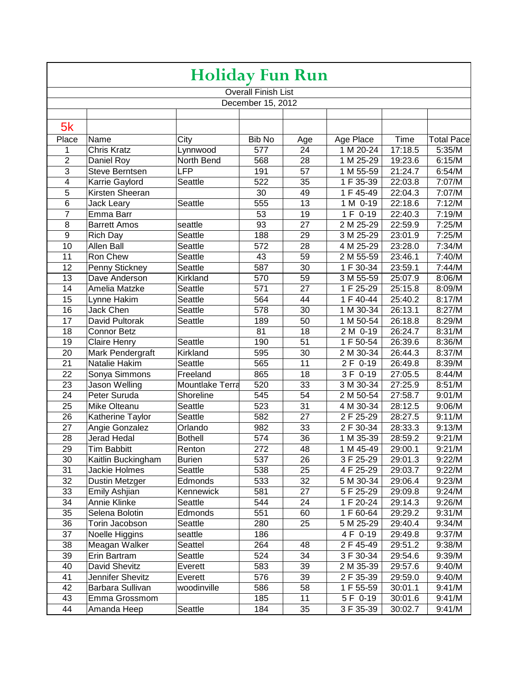| <b>Holiday Fun Run</b> |                      |                        |                            |                 |                        |         |                   |
|------------------------|----------------------|------------------------|----------------------------|-----------------|------------------------|---------|-------------------|
|                        |                      |                        | <b>Overall Finish List</b> |                 |                        |         |                   |
| December 15, 2012      |                      |                        |                            |                 |                        |         |                   |
|                        |                      |                        |                            |                 |                        |         |                   |
| 5k                     |                      |                        |                            |                 |                        |         |                   |
| Place                  | Name                 | City                   | Bib No                     | Age             | Age Place              | Time    | <b>Total Pace</b> |
| 1                      | <b>Chris Kratz</b>   | Lynnwood               | 577                        | 24              | 1 M 20-24              | 17:18.5 | 5:35/M            |
| $\overline{2}$         | Daniel Roy           | North Bend             | 568                        | 28              | 1 M 25-29              | 19:23.6 | 6:15/M            |
| $\overline{3}$         | Steve Berntsen       | LFP                    | 191                        | 57              | 1 M 55-59              | 21:24.7 | 6:54/M            |
| $\overline{4}$         | Karrie Gaylord       | Seattle                | 522                        | $\overline{35}$ | 1 F 35-39              | 22:03.8 | 7:07/M            |
| $\overline{5}$         | Kirsten Sheeran      |                        | 30                         | 49              | 1 F 45-49              | 22:04.3 | 7:07/M            |
| $\overline{6}$         | Jack Leary           | Seattle                | 555                        | 13              | 1 M 0-19               | 22:18.6 | 7:12/M            |
| $\overline{7}$         | Emma Barr            |                        | 53                         | 19              | 1 F 0-19               | 22:40.3 | 7:19/M            |
| 8                      | <b>Barrett Amos</b>  | seattle                | 93                         | 27              | $\sqrt{2}$ M 25-29     | 22:59.9 | 7:25/M            |
| $\overline{9}$         | <b>Rich Day</b>      | Seattle                | 188                        | 29              | $\overline{3}$ M 25-29 | 23:01.9 | 7:25/M            |
| 10                     | Allen Ball           | Seattle                | 572                        | 28              | 4 M 25-29              | 23:28.0 | 7:34/M            |
| 11                     | Ron Chew             | Seattle                | 43                         | 59              | 2 M 55-59              | 23:46.1 | 7:40/M            |
| 12                     | Penny Stickney       | Seattle                | 587                        | 30              | 1 F 30-34              | 23:59.1 | 7:44/M            |
| 13                     | Dave Anderson        | Kirkland               | 570                        | 59              | 3 M 55-59              | 25:07.9 | 8:06/M            |
| 14                     | Amelia Matzke        | Seattle                | 571                        | 27              | 1 F 25-29              | 25:15.8 | 8:09/M            |
| 15                     | Lynne Hakim          | Seattle                | 564                        | 44              | 1 F 40-44              | 25:40.2 | 8:17/M            |
| 16                     | <b>Jack Chen</b>     | Seattle                | 578                        | 30              | 1 M 30-34              | 26:13.1 | 8:27/M            |
| 17                     | David Pultorak       | Seattle                | 189                        | 50              | 1 M 50-54              | 26:18.8 | 8:29/M            |
| 18                     | <b>Connor Betz</b>   |                        | 81                         | 18              | $2 M 0-19$             | 26:24.7 | 8:31/M            |
| 19                     | <b>Claire Henry</b>  | Seattle                | 190                        | 51              | 1 F 50-54              | 26:39.6 | 8:36/M            |
| 20                     | Mark Pendergraft     | Kirkland               | 595                        | 30              | 2 M 30-34              | 26:44.3 | 8:37/M            |
| 21                     | Natalie Hakim        | Seattle                | 565                        | 11              | 2 F 0-19               | 26:49.8 | 8:39/M            |
| 22                     | Sonya Simmons        | Freeland               | 865                        | 18              | 3 F 0-19               | 27:05.5 | 8:44/M            |
| 23                     | Jason Welling        | <b>Mountlake Terra</b> | 520                        | 33              | 3 M 30-34              | 27:25.9 | 8:51/M            |
| 24                     | Peter Suruda         | Shoreline              | 545                        | 54              | 2 M 50-54              | 27:58.7 | 9:01/M            |
| 25                     | Mike Olteanu         | Seattle                | 523                        | 31              | 4 M 30-34              | 28:12.5 | 9:06/M            |
| 26                     | Katherine Taylor     | Seattle                | 582                        | 27              | 2 F 25-29              | 28:27.5 | 9:11/M            |
| 27                     | Angie Gonzalez       | Orlando                | 982                        | 33              | 2 F 30-34              | 28:33.3 | 9:13/M            |
| 28                     | <b>Jerad Hedal</b>   | <b>Bothell</b>         | 574                        | $\overline{36}$ | 1 M 35-39              | 28:59.2 | 9:21/M            |
| $\overline{29}$        | <b>Tim Babbitt</b>   | Renton                 | 272                        | 48              | 1 M 45-49              | 29:00.1 | 9:21/M            |
| 30                     | Kaitlin Buckingham   | <b>Burien</b>          | 537                        | 26              | $\overline{3}$ F 25-29 | 29:01.3 | 9:22/M            |
| 31                     | <b>Jackie Holmes</b> | Seattle                | 538                        | 25              | 4 F 25-29              | 29:03.7 | 9:22/M            |
| 32                     | Dustin Metzger       | Edmonds                | 533                        | 32              | 5 M 30-34              | 29:06.4 | 9:23/M            |
| 33                     | Emily Ashjian        | Kennewick              | 581                        | 27              | 5 F 25-29              | 29:09.8 | 9:24/M            |
| 34                     | Annie Klinke         | Seattle                | 544                        | 24              | 1 F 20-24              | 29:14.3 | 9:26/M            |
| 35                     | Selena Bolotin       | Edmonds                | 551                        | 60              | 1 F 60-64              | 29:29.2 | 9:31/M            |
| 36                     | Torin Jacobson       | Seattle                | 280                        | 25              | 5 M 25-29              | 29:40.4 | 9:34/M            |
| 37                     | Noelle Higgins       | seattle                | 186                        |                 | 4 F 0-19               | 29:49.8 | 9:37/M            |
| 38                     | Meagan Walker        | Seattel                | 264                        | 48              | 2 F 45-49              | 29:51.2 | 9:38/M            |
| 39                     | Erin Bartram         | Seattle                | 524                        | 34              | 3 F 30-34              | 29:54.6 | 9:39/M            |
| 40                     | David Shevitz        | Everett                | 583                        | 39              | 2 M 35-39              | 29:57.6 | 9:40/M            |
| 41                     | Jennifer Shevitz     | Everett                | 576                        | 39              | 2 F 35-39              | 29:59.0 | 9:40/M            |
| 42                     | Barbara Sullivan     | woodinville            | 586                        | 58              | 1 F 55-59              | 30:01.1 | 9:41/M            |
| 43                     | Emma Grossmom        |                        | 185                        | 11              | 5 F 0-19               | 30:01.6 | 9:41/M            |
| 44                     | Amanda Heep          | Seattle                | 184                        | 35              | 3 F 35-39              | 30:02.7 | 9:41/M            |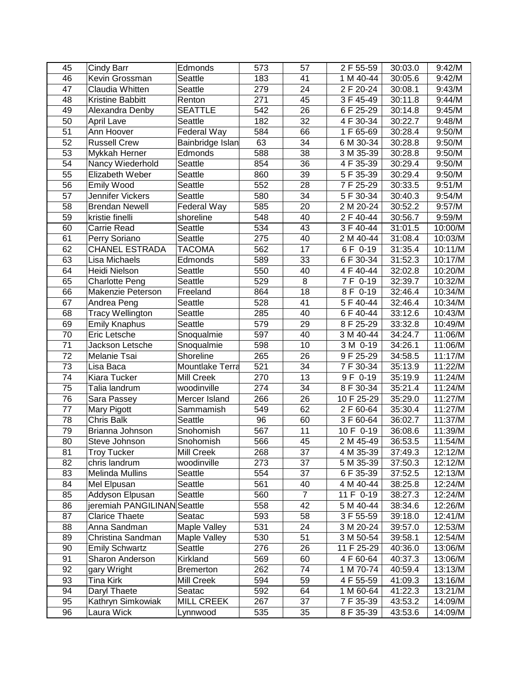| 45              | Cindy Barr                             | Edmonds           | 573 | 57              | 2 F 55-59  | 30:03.0 | 9:42/M  |
|-----------------|----------------------------------------|-------------------|-----|-----------------|------------|---------|---------|
| 46              | Kevin Grossman                         | Seattle           | 183 | 41              | 1 M 40-44  | 30:05.6 | 9:42/M  |
| 47              | Claudia Whitten                        | Seattle           | 279 | 24              | 2 F 20-24  | 30:08.1 | 9:43/M  |
| 48              | Kristine Babbitt                       | Renton            | 271 | 45              | 3 F 45-49  | 30:11.8 | 9:44/M  |
| 49              | Alexandra Denby                        | <b>SEATTLE</b>    | 542 | 26              | 6 F 25-29  | 30:14.8 | 9:45/M  |
| 50              | <b>April Lave</b>                      | Seattle           | 182 | 32              | 4 F 30-34  | 30:22.7 | 9:48/M  |
| 51              | Ann Hoover                             | Federal Way       | 584 | 66              | 1 F 65-69  | 30:28.4 | 9:50/M  |
| $\overline{52}$ | <b>Russell Crew</b>                    | Bainbridge Islan  | 63  | 34              | 6 M 30-34  | 30:28.8 | 9:50/M  |
| 53              | Mykkah Herner                          | Edmonds           | 588 | 38              | 3 M 35-39  | 30:28.8 | 9:50/M  |
| 54              | Nancy Wiederhold                       | Seattle           | 854 | 36              | 4 F 35-39  | 30:29.4 | 9:50/M  |
| 55              | Elizabeth Weber                        | Seattle           | 860 | 39              | 5 F 35-39  | 30:29.4 | 9:50/M  |
| 56              | Emily Wood                             | Seattle           | 552 | 28              | 7 F 25-29  | 30:33.5 | 9:51/M  |
| 57              | Jennifer Vickers                       | Seattle           | 580 | 34              | 5 F 30-34  | 30:40.3 | 9:54/M  |
| 58              | <b>Brendan Newell</b>                  | Federal Way       | 585 | $\overline{20}$ | 2 M 20-24  | 30:52.2 | 9:57/M  |
| 59              | kristie finelli                        | shoreline         | 548 | 40              | 2 F 40-44  | 30:56.7 | 9:59/M  |
| 60              | <b>Carrie Read</b>                     | Seattle           | 534 | 43              | 3 F 40-44  | 31:01.5 | 10:00/M |
| 61              |                                        | Seattle           | 275 | 40              | 2 M 40-44  | 31:08.4 | 10:03/M |
| 62              | Perry Soriano<br><b>CHANEL ESTRADA</b> | <b>TACOMA</b>     | 562 | 17              | 6 F 0-19   | 31:35.4 | 10:11/M |
| 63              | Lisa Michaels                          | Edmonds           | 589 | 33              |            | 31:52.3 |         |
|                 |                                        |                   |     |                 | 6 F 30-34  |         | 10:17/M |
| 64              | Heidi Nielson                          | Seattle           | 550 | 40              | 4 F 40-44  | 32:02.8 | 10:20/M |
| 65              | <b>Charlotte Peng</b>                  | Seattle           | 529 | 8               | 7 F 0-19   | 32:39.7 | 10:32/M |
| 66              | Makenzie Peterson                      | Freeland          | 864 | 18              | 8 F 0-19   | 32:46.4 | 10:34/M |
| 67              | Andrea Peng                            | Seattle           | 528 | 41              | 5 F 40-44  | 32:46.4 | 10:34/M |
| 68              | <b>Tracy Wellington</b>                | Seattle           | 285 | 40              | 6 F 40-44  | 33:12.6 | 10:43/M |
| 69              | <b>Emily Knaphus</b>                   | Seattle           | 579 | 29              | 8 F 25-29  | 33:32.8 | 10:49/M |
| 70              | Eric Letsche                           | Snoqualmie        | 597 | 40              | 3 M 40-44  | 34:24.7 | 11:06/M |
| 71              | Jackson Letsche                        | Snoqualmie        | 598 | 10              | 3 M 0-19   | 34:26.1 | 11:06/M |
| 72              | Melanie Tsai                           | Shoreline         | 265 | 26              | 9F 25-29   | 34:58.5 | 11:17/M |
| 73              | Lisa Baca                              | Mountlake Terra   | 521 | 34              | 7 F 30-34  | 35:13.9 | 11:22/M |
| 74              | Kiara Tucker                           | Mill Creek        | 270 | 13              | 9 F 0-19   | 35:19.9 | 11:24/M |
| 75              | Talia landrum                          | woodinville       | 274 | 34              | 8 F 30-34  | 35:21.4 | 11:24/M |
| 76              | Sara Passey                            | Mercer Island     | 266 | 26              | 10 F 25-29 | 35:29.0 | 11:27/M |
| 77              | Mary Pigott                            | Sammamish         | 549 | 62              | 2 F 60-64  | 35:30.4 | 11:27/M |
| 78              | <b>Chris Balk</b>                      | Seattle           | 96  | 60              | 3 F 60-64  | 36:02.7 | 11:37/M |
| 79              | Brianna Johnson                        | Snohomish         | 567 | 11              | 10 F 0-19  | 36:08.6 | 11:39/M |
| 80              | Steve Johnson                          | Snohomish         | 566 | 45              | 2 M 45-49  | 36:53.5 | 11:54/M |
| 81              | <b>Troy Tucker</b>                     | Mill Creek        | 268 | 37              | 4 M 35-39  | 37:49.3 | 12:12/M |
| 82              | chris landrum                          | woodinville       | 273 | 37              | 5 M 35-39  | 37:50.3 | 12:12/M |
| 83              | Melinda Mullins                        | Seattle           | 554 | 37              | 6 F 35-39  | 37:52.5 | 12:13/M |
| 84              | Mel Elpusan                            | Seattle           | 561 | 40              | 4 M 40-44  | 38:25.8 | 12:24/M |
| 85              | Addyson Elpusan                        | Seattle           | 560 | $\overline{7}$  | 11 F 0-19  | 38:27.3 | 12:24/M |
| 86              | jeremiah PANGILINAN Seattle            |                   | 558 | 42              | 5 M 40-44  | 38:34.6 | 12:26/M |
| 87              | <b>Clarice Thaete</b>                  | Seatac            | 593 | 58              | 3 F 55-59  | 39:18.0 | 12:41/M |
| 88              | Anna Sandman                           | Maple Valley      | 531 | 24              | 3 M 20-24  | 39:57.0 | 12:53/M |
| 89              | Christina Sandman                      | Maple Valley      | 530 | 51              | 3 M 50-54  | 39:58.1 | 12:54/M |
| 90              | <b>Emily Schwartz</b>                  | Seattle           | 276 | 26              | 11 F 25-29 | 40:36.0 | 13:06/M |
| 91              | Sharon Anderson                        | Kirkland          | 569 | 60              | 4 F 60-64  | 40:37.3 | 13:06/M |
| 92              | gary Wright                            | <b>Bremerton</b>  | 262 | 74              | 1 M 70-74  | 40:59.4 | 13:13/M |
| 93              | <b>Tina Kirk</b>                       | Mill Creek        | 594 | 59              | 4 F 55-59  | 41:09.3 | 13:16/M |
| 94              | Daryl Thaete                           | Seatac            | 592 | 64              | 1 M 60-64  | 41:22.3 | 13:21/M |
| 95              | Kathryn Simkowiak                      | <b>MILL CREEK</b> | 267 | 37              | 7 F 35-39  | 43:53.2 | 14:09/M |
| 96              | Laura Wick                             | Lynnwood          | 535 | 35              | 8 F 35-39  | 43:53.6 | 14:09/M |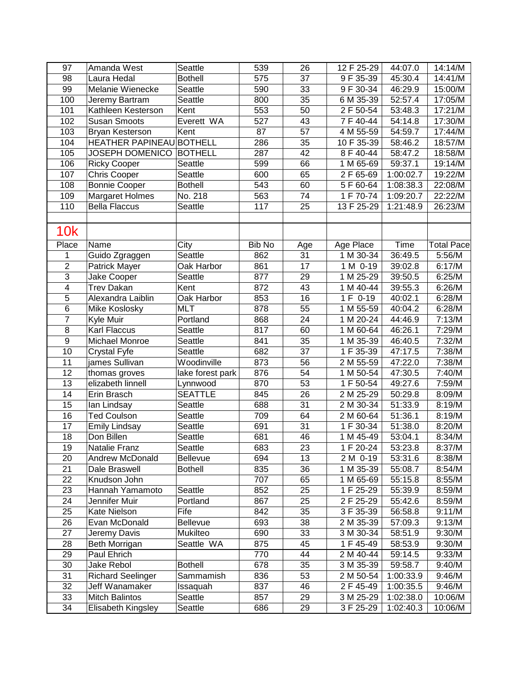| 97                      | Amanda West              | Seattle          | 539           | 26              | 12 F 25-29             | 44:07.0              | 14:14/M           |
|-------------------------|--------------------------|------------------|---------------|-----------------|------------------------|----------------------|-------------------|
| 98                      | Laura Hedal              | <b>Bothell</b>   | 575           | 37              | 9 F 35-39              | 45:30.4              | 14:41/M           |
| 99                      | Melanie Wienecke         | <b>Seattle</b>   | 590           | 33              | 9 F 30-34              | 46:29.9              | 15:00/M           |
| 100                     | Jeremy Bartram           | Seattle          | 800           | 35              | 6 M 35-39              | 52:57.4              | 17:05/M           |
| 101                     | Kathleen Kesterson       | Kent             | 553           | 50              | $\overline{2}$ F 50-54 | $\overline{53:}48.3$ | 17:21/M           |
| 102                     | <b>Susan Smoots</b>      | Everett WA       | 527           | 43              | 7 F 40-44              | 54:14.8              | 17:30/M           |
| 103                     | Bryan Kesterson          | Kent             | 87            | 57              | 4 M 55-59              | 54:59.7              | 17:44/M           |
| 104                     | <b>HEATHER PAPINEAU</b>  | <b>BOTHELL</b>   | 286           | 35              | 10 F 35-39             | 58:46.2              | 18:57/M           |
| 105                     | <b>JOSEPH DOMENICO</b>   | <b>BOTHELL</b>   | 287           | 42              | 8 F 40-44              | 58:47.2              | 18:58/M           |
| 106                     | <b>Ricky Cooper</b>      | Seattle          | 599           | 66              | 1 M 65-69              | 59:37.1              | 19:14/M           |
| 107                     | <b>Chris Cooper</b>      | Seattle          | 600           | 65              | 2 F 65-69              | 1:00:02.7            | 19:22/M           |
| 108                     | <b>Bonnie Cooper</b>     | <b>Bothell</b>   | 543           | 60              | 5 F 60-64              | 1:08:38.3            | 22:08/M           |
| 109                     | <b>Margaret Holmes</b>   | No. 218          | 563           | 74              | 1 F 70-74              | 1:09:20.7            | 22:22/M           |
| 110                     | <b>Bella Flaccus</b>     | Seattle          | 117           | 25              | 13 F 25-29             | 1:21:48.9            | 26:23/M           |
|                         |                          |                  |               |                 |                        |                      |                   |
| <b>10k</b>              |                          |                  |               |                 |                        |                      |                   |
| Place                   | Name                     | City             | <b>Bib No</b> | Age             | Age Place              | Time                 | <b>Total Pace</b> |
| 1                       | Guido Zgraggen           | Seattle          | 862           | 31              | 1 M 30-34              | 36:49.5              | 5:56/M            |
| $\overline{2}$          | Patrick Mayer            | Oak Harbor       | 861           | $\overline{17}$ | 1 M 0-19               | 39:02.8              | 6:17/M            |
| $\overline{3}$          | Jake Cooper              | Seattle          | 877           | 29              | 1 M 25-29              | 39:50.5              | 6:25/M            |
| $\overline{\mathbf{4}}$ | <b>Trev Dakan</b>        | Kent             | 872           | 43              | 1 M 40-44              | 39:55.3              | 6:26/M            |
| 5                       | Alexandra Laiblin        | Oak Harbor       | 853           | 16              | 1 F 0-19               | 40:02.1              | 6:28/M            |
| $\overline{6}$          | Mike Koslosky            | <b>MLT</b>       | 878           | 55              | 1 M 55-59              | 40:04.2              | 6:28/M            |
| $\overline{7}$          | Kyle Muir                | Portland         | 868           | 24              | 1 M 20-24              | 44:46.9              | 7:13/M            |
| 8                       | Karl Flaccus             | Seattle          | 817           | 60              | 1 M 60-64              | 46:26.1              | 7:29/M            |
| $\overline{9}$          | <b>Michael Monroe</b>    | Seattle          | 841           | 35              | 1 M 35-39              | 46:40.5              | 7:32/M            |
| 10                      | Crystal Fyfe             | Seattle          | 682           | 37              | 1 F 35-39              | 47:17.5              | 7:38/M            |
| 11                      | james Sullivan           | Woodinville      | 873           | 56              | 2 M 55-59              | 47:22.0              | 7:38/M            |
| 12                      | thomas groves            | lake forest park | 876           | 54              | 1 M 50-54              | 47:30.5              | 7:40/M            |
| 13                      | elizabeth linnell        | Lynnwood         | 870           | 53              | 1 F 50-54              | 49:27.6              | 7:59/M            |
| 14                      | Erin Brasch              | <b>SEATTLE</b>   | 845           | 26              | 2 M 25-29              | 50:29.8              | 8:09/M            |
| 15                      | lan Lindsay              | Seattle          | 688           | 31              | 2 M 30-34              | 51:33.9              | 8:19/M            |
| 16                      | <b>Ted Coulson</b>       | Seattle          | 709           | 64              | 2 M 60-64              | 51:36.1              | 8:19/M            |
| 17                      | <b>Emily Lindsay</b>     | Seattle          | 691           | 31              | 1 F 30-34              | 51:38.0              | 8:20/M            |
| 18                      | Don Billen               | Seattle          | 681           | 46              | 1 M 45-49              | 53:04.1              | 8:34/M            |
| 19                      | Natalie Franz            | Seattle          | 683           | 23              | 1 F 20-24              | 53:23.8              | 8:37/M            |
| 20                      | Andrew McDonald          | <b>Bellevue</b>  | 694           | 13              | 2 M 0-19               | 53:31.6              | 8:38/M            |
| 21                      | Dale Braswell            | <b>Bothell</b>   | 835           | 36              | 1 M 35-39              | 55:08.7              | 8:54/M            |
| 22                      | Knudson John             |                  | 707           | 65              | 1 M 65-69              | 55:15.8              | 8:55/M            |
| 23                      | Hannah Yamamoto          | Seattle          | 852           | 25              | 1 F 25-29              | 55:39.9              | 8:59/M            |
| 24                      | Jennifer Muir            | Portland         | 867           | 25              | 2 F 25-29              | 55:42.6              | 8:59/M            |
| 25                      | Kate Nielson             | Fife             | 842           | 35              | $3F35-39$              | 56:58.8              | 9:11/M            |
| 26                      | Evan McDonald            | Bellevue         | 693           | 38              | 2 M 35-39              | 57:09.3              | 9:13/M            |
| 27                      | Jeremy Davis             | Mukilteo         | 690           | 33              | 3 M 30-34              | 58:51.9              | 9:30/M            |
| 28                      | Beth Morrigan            | Seattle WA       | 875           | 45              | 1 F 45-49              | 58:53.9              | 9:30/M            |
| 29                      | Paul Ehrich              |                  | 770           | 44              | 2 M 40-44              | 59:14.5              | 9:33/M            |
| 30                      | Jake Rebol               | <b>Bothell</b>   | 678           | 35              | 3 M 35-39              | 59:58.7              | 9:40/M            |
| $\overline{31}$         | <b>Richard Seelinger</b> | Sammamish        | 836           | 53              | 2 M 50-54              | 1:00:33.9            | 9:46/M            |
| $\overline{32}$         | Jeff Wanamaker           | Issaquah         | 837           | 46              | 2 F 45-49              | 1:00:35.5            | 9:46/M            |
| $\overline{33}$         | Mitch Balintos           | Seattle          | 857           | 29              | 3 M 25-29              | 1:02:38.0            | 10:06/M           |
| 34                      | Elisabeth Kingsley       | Seattle          | 686           | 29              | 3 F 25-29              | 1:02:40.3            | 10:06/M           |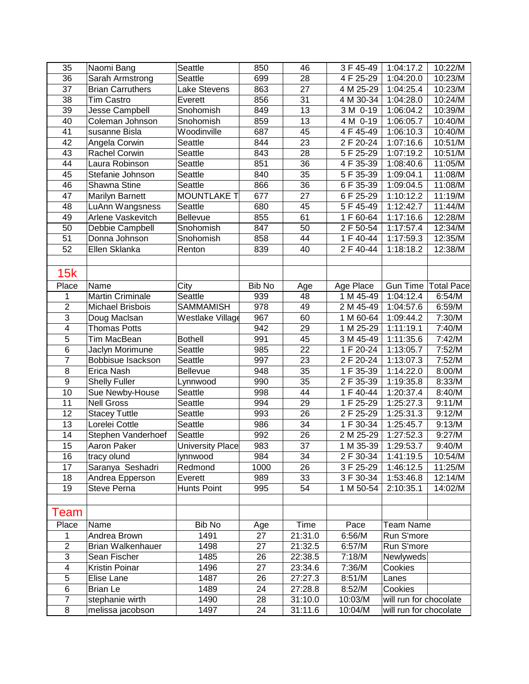| 35                      | Naomi Bang              | Seattle                 | 850    | 46              | 3 F 45-49              | 1:04:17.2              | 10:22/M           |
|-------------------------|-------------------------|-------------------------|--------|-----------------|------------------------|------------------------|-------------------|
| 36                      | Sarah Armstrong         | Seattle                 | 699    | 28              | 4 F 25-29              | 1:04:20.0              | 10:23/M           |
| 37                      | <b>Brian Carruthers</b> | Lake Stevens            | 863    | 27              | 4 M 25-29              | 1:04:25.4              | 10:23/M           |
| 38                      | <b>Tim Castro</b>       | Everett                 | 856    | 31              | $\overline{4}$ M 30-34 | 1:04:28.0              | 10:24/M           |
| 39                      | Jesse Campbell          | Snohomish               | 849    | 13              | 3 M 0-19               | 1:06:04.2              | 10:39/M           |
| 40                      | Coleman Johnson         | Snohomish               | 859    | 13              | 4 M 0-19               | 1:06:05.7              | 10:40/M           |
| 41                      | susanne Bisla           | Woodinville             | 687    | 45              | 4 F 45-49              | 1:06:10.3              | 10:40/M           |
| 42                      | Angela Corwin           | Seattle                 | 844    | 23              | 2 F 20-24              | 1:07:16.6              | 10:51/M           |
| 43                      | Rachel Corwin           | <b>Seattle</b>          | 843    | 28              | $\overline{5}$ F 25-29 | 1:07:19.2              | 10:51/M           |
| 44                      | Laura Robinson          | Seattle                 | 851    | 36              | 4 F 35-39              | 1:08:40.6              | 11:05/M           |
| 45                      | Stefanie Johnson        | Seattle                 | 840    | 35              | 5 F 35-39              | 1:09:04.1              | 11:08/M           |
| 46                      | Shawna Stine            | Seattle                 | 866    | $\overline{36}$ | 6 F 35-39              | 1:09:04.5              | 11:08/M           |
| 47                      | Marilyn Barnett         | <b>MOUNTLAKE T</b>      | 677    | 27              | 6 F 25-29              | 1:10:12.2              | 11:19/M           |
| 48                      | LuAnn Wangsness         | Seattle                 | 680    | 45              | 5 F 45-49              | 1:12:42.7              | 11:44/M           |
| 49                      | Arlene Vaskevitch       | <b>Bellevue</b>         | 855    | 61              | 1 F 60-64              | 1:17:16.6              | 12:28/M           |
| 50                      | Debbie Campbell         | Snohomish               | 847    | 50              | 2 F 50-54              | 1:17:57.4              | 12:34/M           |
| 51                      | Donna Johnson           | Snohomish               | 858    | 44              | $1 F 40 - 44$          | 1:17:59.3              | 12:35/M           |
| 52                      | Ellen Sklanka           | Renton                  | 839    | 40              | 2 F 40-44              | 1:18:18.2              | 12:38/M           |
|                         |                         |                         |        |                 |                        |                        |                   |
| 15k                     |                         |                         |        |                 |                        |                        |                   |
|                         |                         |                         |        |                 |                        |                        |                   |
| Place                   | Name                    | City                    | Bib No | Age             | Age Place              | Gun Time               | <b>Total Pace</b> |
| 1                       | <b>Martin Criminale</b> | Seattle                 | 939    | 48              | 1 M 45-49              | 1:04:12.4              | 6:54/M            |
| $\overline{2}$          | <b>Michael Brisbois</b> | <b>SAMMAMISH</b>        | 978    | 49              | 2 M 45-49              | 1:04:57.6              | 6:59/M            |
| 3                       | Doug MacIsan            | Westlake Village        | 967    | 60              | 1 M 60-64              | 1:09:44.2              | 7:30/M            |
| 4                       | <b>Thomas Potts</b>     |                         | 942    | 29              | 1 M 25-29              | 1:11:19.1              | 7:40/M            |
| 5                       | Tim MacBean             | <b>Bothell</b>          | 991    | 45              | 3 M 45-49              | 1:11:35.6              | 7:42/M            |
| 6                       | Jaclyn Morimune         | Seattle                 | 985    | 22              | 1 F 20-24              | 1:13:05.7              | 7:52/M            |
| $\overline{7}$          | Bobbisue Isackson       | Seattle                 | 997    | 23              | 2 F 20-24              | 1:13:07.3              | 7:52/M            |
| $\overline{8}$          | Erica Nash              | <b>Bellevue</b>         | 948    | 35              | 1 F 35-39              | 1:14:22.0              | 8:00/M            |
| $\overline{9}$          | <b>Shelly Fuller</b>    | Lynnwood                | 990    | 35              | 2 F 35-39              | 1:19:35.8              | 8:33/M            |
| 10                      | Sue Newby-House         | Seattle                 | 998    | 44              | 1 F 40-44              | 1:20:37.4              | 8:40/M            |
| 11                      | <b>Nell Gross</b>       | Seattle                 | 994    | 29              | 1 F 25-29              | 1:25:27.3              | 9:11/M            |
| 12                      | <b>Stacey Tuttle</b>    | Seattle                 | 993    | 26              | 2 F 25-29              | 1:25:31.3              | 9:12/M            |
| 13                      | Lorelei Cottle          | Seattle                 | 986    | 34              | 1 F 30-34              | 1:25:45.7              | 9:13/M            |
| 14                      | Stephen Vanderhoef      | <b>Seattle</b>          | 992    | 26              | 2 M 25-29              | 1:27:52.3              | 9:27/M            |
| 15                      | Aaron Paker             | <b>University Place</b> | 983    | 37              | 1 M 35-39              | 1:29:53.7              | 9:40/M            |
| 16                      | tracy olund             | lynnwood                | 984    | 34              | 2 F 30-34              | 1:41:19.5              | 10:54/M           |
| 17                      | Saranya Seshadri        | Redmond                 | 1000   | 26              | 3 F 25-29              | 1:46:12.5              | 11:25/M           |
| 18                      | Andrea Epperson         | Everett                 | 989    | 33              | 3 F 30-34              | 1:53:46.8              | 12:14/M           |
| 19                      | Steve Perna             | Hunts Point             | 995    | 54              | 1 M 50-54              | 2:10:35.1              | 14:02/M           |
|                         |                         |                         |        |                 |                        |                        |                   |
|                         |                         |                         |        |                 |                        |                        |                   |
| Team                    |                         |                         |        |                 |                        |                        |                   |
| Place                   | Name                    | Bib No                  | Age    | Time            | Pace                   | <b>Team Name</b>       |                   |
| 1                       | Andrea Brown            | 1491                    | 27     | 21:31.0         | 6:56/M                 | Run S'more             |                   |
| $\overline{2}$          | Brian Walkenhauer       | 1498                    | 27     | 21:32.5         | 6:57/M                 | Run S'more             |                   |
| $\overline{3}$          | Sean Fischer            | 1485                    | 26     | 22:38.5         | 7:18/M                 | Newlyweds              |                   |
| $\overline{\mathbf{4}}$ | Kristin Poinar          | 1496                    | 27     | 23:34.6         | 7:36/M                 | Cookies                |                   |
| 5                       | Elise Lane              | 1487                    | 26     | 27:27.3         | 8:51/M                 | Lanes                  |                   |
| 6                       | <b>Brian Le</b>         | 1489                    | 24     | 27:28.8         | 8:52/M                 | Cookies                |                   |
| 7                       | stephanie wirth         | 1490                    | 28     | 31:10.0         | 10:03/M                | will run for chocolate |                   |
| 8                       | melissa jacobson        | 1497                    | 24     | 31:11.6         | 10:04/M                | will run for chocolate |                   |